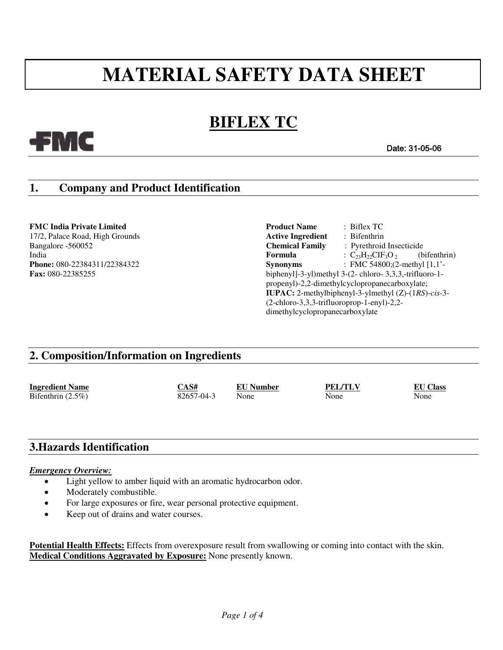# **MATERIAL SAFETY DATA SHEET**

# **BIFLEX TC**

#### Date: 31-05-06

# **1. Company and Product Identification**

-FMC

**FMC India Private Limited Product Name** : Biflex TC 17/2, Palace Road, High Grounds **Active Ingredient** : Bifenthrin Bangalore -560052 **Chemical Family** : Pyrethroid Insecticide India **Formula** : C<sub>23</sub>H<sub>22</sub>CIF<sub>3</sub>O<sub>2</sub> (bifenthrin)<br> **Phone:** 080-22384311/22384322 **Synonyms** : FMC 54800:(2-methyl [1.1'-**Phone**: **FMC** 54800;(2-methyl [1,1'-**Fax:** 080-22385255 biphenyl]-3-yl)methyl 3-(2- chloro- 3,3,3,-trifluoro-1propenyl)-2,2-dimethylcyclopropanecarboxylate; **IUPAC:** 2-methylbiphenyl-3-ylmethyl (Z)-(1*RS*)-*cis-*3- (2-chloro-3,3,3-trifluoroprop-1-enyl)-2,2 dimethylcyclopropanecarboxylate

## **2. Composition/Information on Ingredients**

**Ingredient Name CAS# EU Number PEL/TLV EU Class** Bifenthrin (2.5%) 82657-04-3 None None None None

## **3.Hazards Identification**

#### *Emergency Overview:*

- Light yellow to amber liquid with an aromatic hydrocarbon odor.
- Moderately combustible.
- For large exposures or fire, wear personal protective equipment.
- Keep out of drains and water courses.

**Potential Health Effects:** Effects from overexposure result from swallowing or coming into contact with the skin. **Medical Conditions Aggravated by Exposure:** None presently known.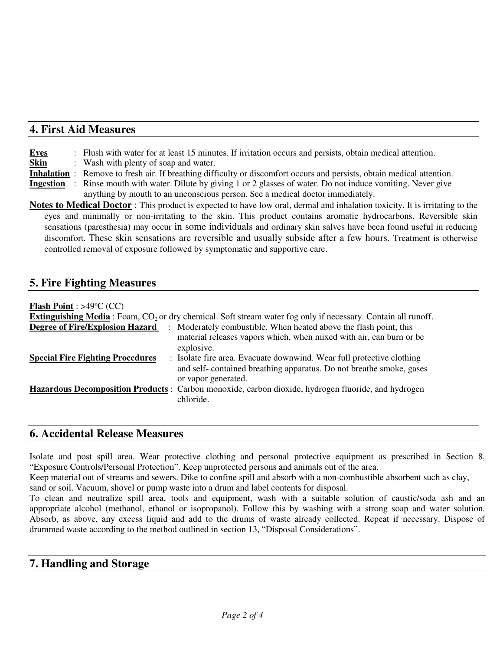### **4. First Aid Measures**

**Eyes** : Flush with water for at least 15 minutes. If irritation occurs and persists, obtain medical attention.

**Skin** : Wash with plenty of soap and water.

- **Inhalation** : Remove to fresh air. If breathing difficulty or discomfort occurs and persists, obtain medical attention.
- **Ingestion** : Rinse mouth with water. Dilute by giving 1 or 2 glasses of water. Do not induce vomiting. Never give anything by mouth to an unconscious person. See a medical doctor immediately.
- **Notes to Medical Doctor** : This product is expected to have low oral, dermal and inhalation toxicity. It is irritating to the eyes and minimally or non-irritating to the skin. This product contains aromatic hydrocarbons. Reversible skin sensations (paresthesia) may occur in some individuals and ordinary skin salves have been found useful in reducing discomfort. These skin sensations are reversible and usually subside after a few hours. Treatment is otherwise controlled removal of exposure followed by symptomatic and supportive care.

# **5. Fire Fighting Measures**

#### **Flash Point** : >49ºC (CC)

| <b>Extinguishing Media</b> : Foam, $CO2$ or dry chemical. Soft stream water fog only if necessary. Contain all runoff. |                                                                                                                                                                     |  |  |  |
|------------------------------------------------------------------------------------------------------------------------|---------------------------------------------------------------------------------------------------------------------------------------------------------------------|--|--|--|
| <b>Degree of Fire/Explosion Hazard</b>                                                                                 | : Moderately combustible. When heated above the flash point, this<br>material releases vapors which, when mixed with air, can burn or be<br>explosive.              |  |  |  |
| <b>Special Fire Fighting Procedures</b>                                                                                | : Isolate fire area. Evacuate downwind. Wear full protective clothing<br>and self-contained breathing apparatus. Do not breathe smoke, gases<br>or vapor generated. |  |  |  |
|                                                                                                                        | Hazardous Decomposition Products : Carbon monoxide, carbon dioxide, hydrogen fluoride, and hydrogen<br>chloride.                                                    |  |  |  |

### **6. Accidental Release Measures**

Isolate and post spill area. Wear protective clothing and personal protective equipment as prescribed in Section 8, "Exposure Controls/Personal Protection". Keep unprotected persons and animals out of the area.

Keep material out of streams and sewers. Dike to confine spill and absorb with a non-combustible absorbent such as clay, sand or soil. Vacuum, shovel or pump waste into a drum and label contents for disposal.

To clean and neutralize spill area, tools and equipment, wash with a suitable solution of caustic/soda ash and an appropriate alcohol (methanol, ethanol or isopropanol). Follow this by washing with a strong soap and water solution. Absorb, as above, any excess liquid and add to the drums of waste already collected. Repeat if necessary. Dispose of drummed waste according to the method outlined in section 13, "Disposal Considerations".

# **7. Handling and Storage**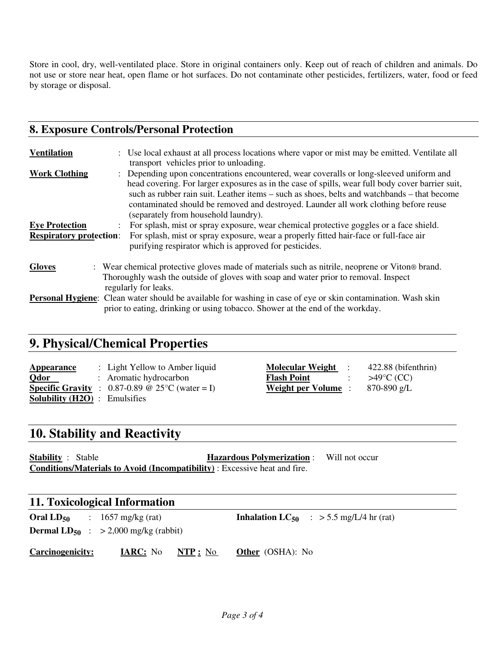Store in cool, dry, well-ventilated place. Store in original containers only. Keep out of reach of children and animals. Do not use or store near heat, open flame or hot surfaces. Do not contaminate other pesticides, fertilizers, water, food or feed by storage or disposal.

# **8. Exposure Controls/Personal Protection**

| <b>Ventilation</b>                                      | : Use local exhaust at all process locations where vapor or mist may be emitted. Ventilate all<br>transport vehicles prior to unloading.                                                                                                                                                                                                                                                                                   |  |
|---------------------------------------------------------|----------------------------------------------------------------------------------------------------------------------------------------------------------------------------------------------------------------------------------------------------------------------------------------------------------------------------------------------------------------------------------------------------------------------------|--|
| <b>Work Clothing</b>                                    | : Depending upon concentrations encountered, wear coveralls or long-sleeved uniform and<br>head covering. For larger exposures as in the case of spills, wear full body cover barrier suit,<br>such as rubber rain suit. Leather items – such as shoes, belts and watchbands – that become<br>contaminated should be removed and destroyed. Launder all work clothing before reuse<br>(separately from household laundry). |  |
| <b>Eye Protection</b><br><b>Respiratory protection:</b> | For splash, mist or spray exposure, wear chemical protective goggles or a face shield.<br>For splash, mist or spray exposure, wear a properly fitted hair-face or full-face air<br>purifying respirator which is approved for pesticides.                                                                                                                                                                                  |  |
| <b>Gloves</b>                                           | : Wear chemical protective gloves made of materials such as nitrile, neoprene or Viton® brand.<br>Thoroughly wash the outside of gloves with soap and water prior to removal. Inspect<br>regularly for leaks.                                                                                                                                                                                                              |  |
|                                                         | <b>Personal Hygiene:</b> Clean water should be available for washing in case of eye or skin contamination. Wash skin<br>prior to eating, drinking or using tobacco. Shower at the end of the workday.                                                                                                                                                                                                                      |  |

# **9. Physical/Chemical Properties**

| Appearance                           | : Light Yellow to Amber liquid                           |
|--------------------------------------|----------------------------------------------------------|
| <b>Odor</b>                          | : Aromatic hydrocarbon                                   |
|                                      | <b>Specific Gravity</b> : $0.87-0.89$ @ 25°C (water = I) |
| <b>Solubility (H2O)</b> : Emulsifies |                                                          |

**Molecular Weight** : 422.88 (bifenthrin) **Flash Point** :  $>49^{\circ}C$  (CC) **Weight per Volume** : 870-890 g/L

# **10. Stability and Reactivity**

**Stability** : Stable **Hazardous Polymerization** : Will not occur **Conditions/Materials to Avoid (Incompatibility)** : Excessive heat and fire.

#### **11. Toxicological Information**

**Oral**  $LD_{50}$  : 1657 mg/kg (rat) **Inhalation**  $LC_{50}$  : > 5.5 mg/L/4 hr (rat) **Dermal**  $LD_{50}$  :  $> 2,000$  mg/kg (rabbit)

**Carcinogenicity: IARC:** No **NTP :** No **Other** (OSHA): No